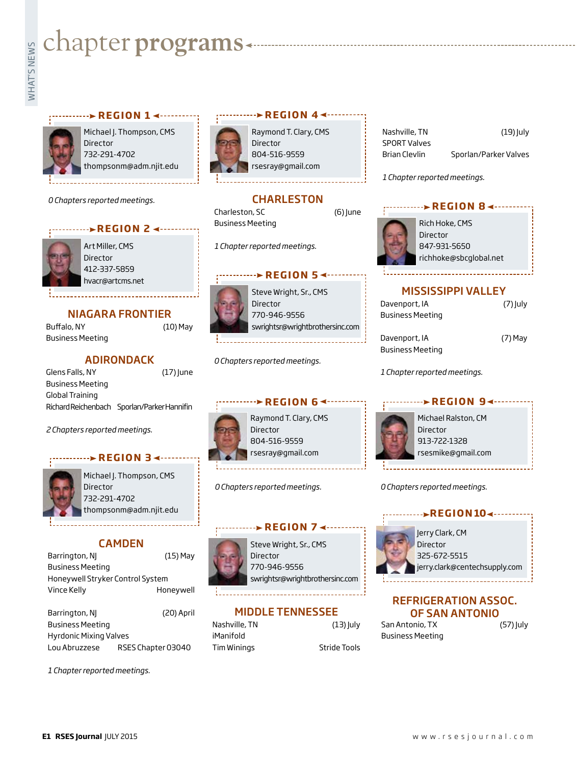# **Exampler programs**<br>Example:<br>Fig.



Michael J. Thompson, CMS Director 732-291-4702 thompsonm@adm.njit.edu

**REGION 1**

*0 Chapters reported meetings.*





Art Miller, CMS Director 412-337-5859 hvacr@artcms.net

### NIAGARA FRONTIER

Buffalo, NY (10) May Business Meeting

#### ADIRONDACK

Glens Falls, NY (17) June Business Meeting Global Training Richard Reichenbach Sporlan/Parker Hannifin

*2 Chapters reported meetings.*

#### **REGION 3 <----**



Michael J. Thompson, CMS Director 732-291-4702 thompsonm@adm.njit.edu

#### CAMDEN

| Barrington, NJ                   | $(15)$ May |
|----------------------------------|------------|
| Business Meeting                 |            |
| Honeywell Stryker Control System |            |
| Vince Kelly                      | Honeywell  |

Barrington, NJ (20) April Business Meeting Hyrdonic Mixing Valves Lou Abruzzese RSES Chapter 03040

*1 Chapter reported meetings.*



Raymond T. Clary, CMS Director 804-516-9559 rsesray@gmail.com

**BEGION 4 <-------**

#### **CHARLESTON**

Charleston, SC (6) June Business Meeting

*1 Chapter reported meetings.*

#### **EXAMPLE REGION 5**

Steve Wright, Sr., CMS Director 770-946-9556 swrightsr@wrightbrothersinc.com

*0 Chapters reported meetings.*



Raymond T. Clary, CMS Director 804-516-9559 rsesray@gmail.com

*0 Chapters reported meetings.*



Steve Wright, Sr., CMS Director 770-946-9556 swrightsr@wrightbrothersinc.com

**REGION 7**

#### MIDDLE TENNESSEE

Nashville, TN (13) July iManifold Tim Winings Stride Tools

Nashville, TN (19) July SPORT Valves Brian Clevlin Sporlan/Parker Valves

*1 Chapter reported meetings.*



#### MISSISSIPPI VALLEY

| Davenport, IA           | $(7)$ July |
|-------------------------|------------|
| <b>Business Meeting</b> |            |
| Davenport, IA           | $(7)$ May  |

 $(7)$  July

Business Meeting

*1 Chapter reported meetings.*



*0 Chapters reported meetings.*

#### **REGION 104 - - - - - - -**



Jerry Clark, CM Director 325-672-5515 jerry.clark@centechsupply.com

#### REFRIGERATION ASSOC. OF SAN ANTONIO



San Antonio, TX (57) July Business Meeting